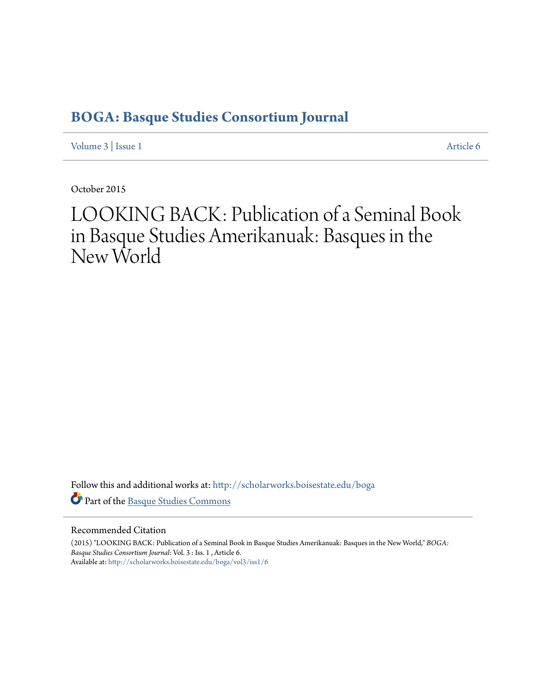# **[BOGA: Basque Studies Consortium Journal](http://scholarworks.boisestate.edu/boga?utm_source=scholarworks.boisestate.edu%2Fboga%2Fvol3%2Fiss1%2F6&utm_medium=PDF&utm_campaign=PDFCoverPages)**

[Volume 3](http://scholarworks.boisestate.edu/boga/vol3?utm_source=scholarworks.boisestate.edu%2Fboga%2Fvol3%2Fiss1%2F6&utm_medium=PDF&utm_campaign=PDFCoverPages) | [Issue 1](http://scholarworks.boisestate.edu/boga/vol3/iss1?utm_source=scholarworks.boisestate.edu%2Fboga%2Fvol3%2Fiss1%2F6&utm_medium=PDF&utm_campaign=PDFCoverPages) [Article 6](http://scholarworks.boisestate.edu/boga/vol3/iss1/6?utm_source=scholarworks.boisestate.edu%2Fboga%2Fvol3%2Fiss1%2F6&utm_medium=PDF&utm_campaign=PDFCoverPages)

October 2015

# LOOKING BACK: Publication of a Seminal Book in Basque Studies Amerikanuak: Basques in the New World

Follow this and additional works at: [http://scholarworks.boisestate.edu/boga](http://scholarworks.boisestate.edu/boga?utm_source=scholarworks.boisestate.edu%2Fboga%2Fvol3%2Fiss1%2F6&utm_medium=PDF&utm_campaign=PDFCoverPages) Part of the [Basque Studies Commons](http://network.bepress.com/hgg/discipline/1244?utm_source=scholarworks.boisestate.edu%2Fboga%2Fvol3%2Fiss1%2F6&utm_medium=PDF&utm_campaign=PDFCoverPages)

# Recommended Citation

(2015) "LOOKING BACK: Publication of a Seminal Book in Basque Studies Amerikanuak: Basques in the New World," *BOGA: Basque Studies Consortium Journal*: Vol. 3 : Iss. 1 , Article 6. Available at: [http://scholarworks.boisestate.edu/boga/vol3/iss1/6](http://scholarworks.boisestate.edu/boga/vol3/iss1/6?utm_source=scholarworks.boisestate.edu%2Fboga%2Fvol3%2Fiss1%2F6&utm_medium=PDF&utm_campaign=PDFCoverPages)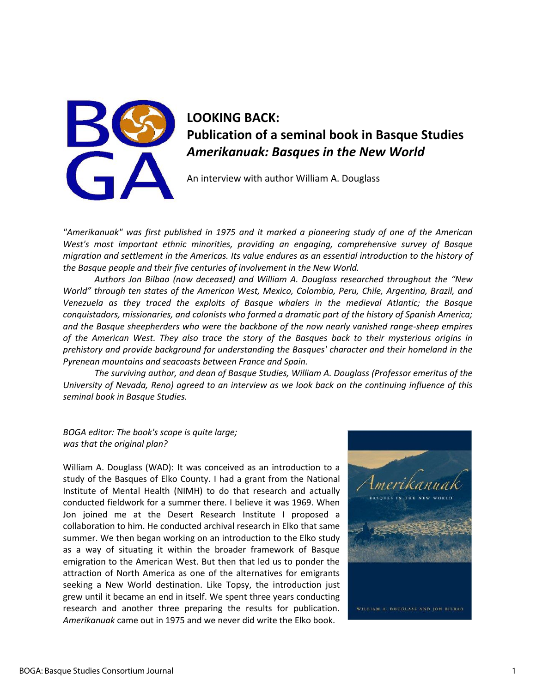

# **LOOKING BACK: Publication of a seminal book in Basque Studies**  *Amerikanuak: Basques in the New World*

An interview with author William A. Douglass

*"Amerikanuak" was first published in 1975 and it marked a pioneering study of one of the American West's most important ethnic minorities, providing an engaging, comprehensive survey of Basque migration and settlement in the Americas. Its value endures as an essential introduction to the history of the Basque people and their five centuries of involvement in the New World.* 

*Authors Jon Bilbao (now deceased) and William A. Douglass researched throughout the "New World" through ten states of the American West, Mexico, Colombia, Peru, Chile, Argentina, Brazil, and Venezuela as they traced the exploits of Basque whalers in the medieval Atlantic; the Basque conquistadors, missionaries, and colonists who formed a dramatic part of the history of Spanish America; and the Basque sheepherders who were the backbone of the now nearly vanished range-sheep empires of the American West. They also trace the story of the Basques back to their mysterious origins in prehistory and provide background for understanding the Basques' character and their homeland in the Pyrenean mountains and seacoasts between France and Spain.* 

*The surviving author, and dean of Basque Studies, William A. Douglass (Professor emeritus of the University of Nevada, Reno) agreed to an interview as we look back on the continuing influence of this seminal book in Basque Studies.*

*BOGA editor: The book's scope is quite large; was that the original plan?* 

William A. Douglass (WAD): It was conceived as an introduction to a study of the Basques of Elko County. I had a grant from the National Institute of Mental Health (NIMH) to do that research and actually conducted fieldwork for a summer there. I believe it was 1969. When Jon joined me at the Desert Research Institute I proposed a collaboration to him. He conducted archival research in Elko that same summer. We then began working on an introduction to the Elko study as a way of situating it within the broader framework of Basque emigration to the American West. But then that led us to ponder the attraction of North America as one of the alternatives for emigrants seeking a New World destination. Like Topsy, the introduction just grew until it became an end in itself. We spent three years conducting research and another three preparing the results for publication. *Amerikanuak* came out in 1975 and we never did write the Elko book.

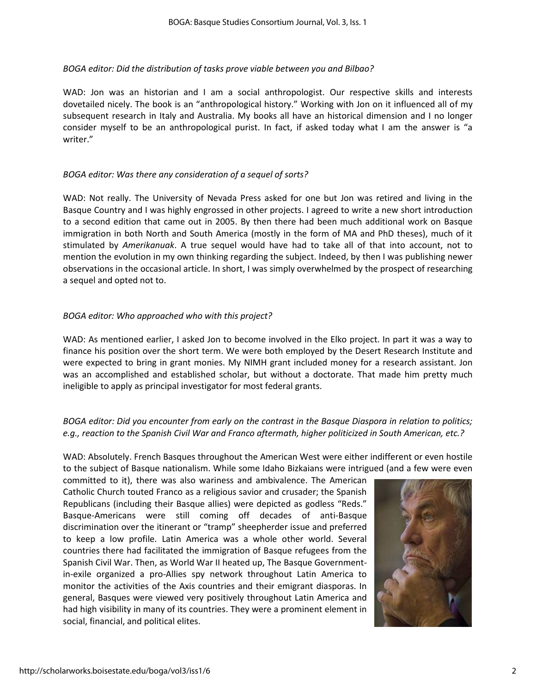# *BOGA editor: Did the distribution of tasks prove viable between you and Bilbao?*

WAD: Jon was an historian and I am a social anthropologist. Our respective skills and interests dovetailed nicely. The book is an "anthropological history." Working with Jon on it influenced all of my subsequent research in Italy and Australia. My books all have an historical dimension and I no longer consider myself to be an anthropological purist. In fact, if asked today what I am the answer is "a writer."

# *BOGA editor: Was there any consideration of a sequel of sorts?*

WAD: Not really. The University of Nevada Press asked for one but Jon was retired and living in the Basque Country and I was highly engrossed in other projects. I agreed to write a new short introduction to a second edition that came out in 2005. By then there had been much additional work on Basque immigration in both North and South America (mostly in the form of MA and PhD theses), much of it stimulated by *Amerikanuak*. A true sequel would have had to take all of that into account, not to mention the evolution in my own thinking regarding the subject. Indeed, by then I was publishing newer observations in the occasional article. In short, I was simply overwhelmed by the prospect of researching a sequel and opted not to.

# *BOGA editor: Who approached who with this project?*

WAD: As mentioned earlier, I asked Jon to become involved in the Elko project. In part it was a way to finance his position over the short term. We were both employed by the Desert Research Institute and were expected to bring in grant monies. My NIMH grant included money for a research assistant. Jon was an accomplished and established scholar, but without a doctorate. That made him pretty much ineligible to apply as principal investigator for most federal grants.

# *BOGA editor: Did you encounter from early on the contrast in the Basque Diaspora in relation to politics; e.g., reaction to the Spanish Civil War and Franco aftermath, higher politicized in South American, etc.?*

WAD: Absolutely. French Basques throughout the American West were either indifferent or even hostile to the subject of Basque nationalism. While some Idaho Bizkaians were intrigued (and a few were even

committed to it), there was also wariness and ambivalence. The American Catholic Church touted Franco as a religious savior and crusader; the Spanish Republicans (including their Basque allies) were depicted as godless "Reds." Basque-Americans were still coming off decades of anti-Basque discrimination over the itinerant or "tramp" sheepherder issue and preferred to keep a low profile. Latin America was a whole other world. Several countries there had facilitated the immigration of Basque refugees from the Spanish Civil War. Then, as World War II heated up, The Basque Governmentin-exile organized a pro-Allies spy network throughout Latin America to monitor the activities of the Axis countries and their emigrant diasporas. In general, Basques were viewed very positively throughout Latin America and had high visibility in many of its countries. They were a prominent element in social, financial, and political elites.

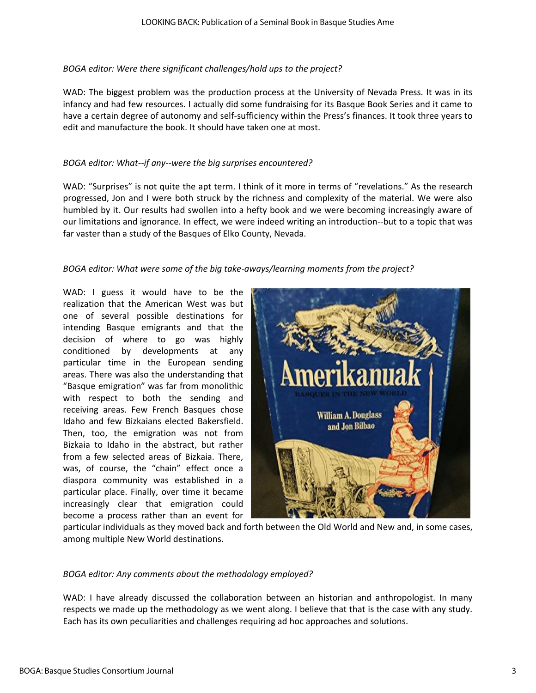# *BOGA editor: Were there significant challenges/hold ups to the project?*

WAD: The biggest problem was the production process at the University of Nevada Press. It was in its infancy and had few resources. I actually did some fundraising for its Basque Book Series and it came to have a certain degree of autonomy and self-sufficiency within the Press's finances. It took three years to edit and manufacture the book. It should have taken one at most.

# *BOGA editor: What--if any--were the big surprises encountered?*

WAD: "Surprises" is not quite the apt term. I think of it more in terms of "revelations." As the research progressed, Jon and I were both struck by the richness and complexity of the material. We were also humbled by it. Our results had swollen into a hefty book and we were becoming increasingly aware of our limitations and ignorance. In effect, we were indeed writing an introduction--but to a topic that was far vaster than a study of the Basques of Elko County, Nevada.

# *BOGA editor: What were some of the big take-aways/learning moments from the project?*

WAD: I guess it would have to be the realization that the American West was but one of several possible destinations for intending Basque emigrants and that the decision of where to go was highly conditioned by developments at any particular time in the European sending areas. There was also the understanding that "Basque emigration" was far from monolithic with respect to both the sending and receiving areas. Few French Basques chose Idaho and few Bizkaians elected Bakersfield. Then, too, the emigration was not from Bizkaia to Idaho in the abstract, but rather from a few selected areas of Bizkaia. There, was, of course, the "chain" effect once a diaspora community was established in a particular place. Finally, over time it became increasingly clear that emigration could become a process rather than an event for



particular individuals as they moved back and forth between the Old World and New and, in some cases, among multiple New World destinations.

### *BOGA editor: Any comments about the methodology employed?*

WAD: I have already discussed the collaboration between an historian and anthropologist. In many respects we made up the methodology as we went along. I believe that that is the case with any study. Each has its own peculiarities and challenges requiring ad hoc approaches and solutions.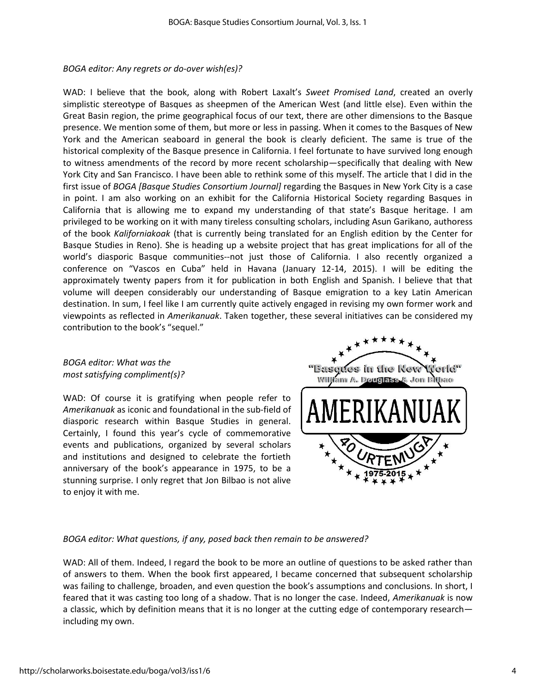### *BOGA editor: Any regrets or do-over wish(es)?*

WAD: I believe that the book, along with Robert Laxalt's *Sweet Promised Land*, created an overly simplistic stereotype of Basques as sheepmen of the American West (and little else). Even within the Great Basin region, the prime geographical focus of our text, there are other dimensions to the Basque presence. We mention some of them, but more or less in passing. When it comes to the Basques of New York and the American seaboard in general the book is clearly deficient. The same is true of the historical complexity of the Basque presence in California. I feel fortunate to have survived long enough to witness amendments of the record by more recent scholarship—specifically that dealing with New York City and San Francisco. I have been able to rethink some of this myself. The article that I did in the first issue of *BOGA [Basque Studies Consortium Journal]* regarding the Basques in New York City is a case in point. I am also working on an exhibit for the California Historical Society regarding Basques in California that is allowing me to expand my understanding of that state's Basque heritage. I am privileged to be working on it with many tireless consulting scholars, including Asun Garikano, authoress of the book *Kaliforniakoak* (that is currently being translated for an English edition by the Center for Basque Studies in Reno). She is heading up a website project that has great implications for all of the world's diasporic Basque communities--not just those of California. I also recently organized a conference on "Vascos en Cuba" held in Havana (January 12-14, 2015). I will be editing the approximately twenty papers from it for publication in both English and Spanish. I believe that that volume will deepen considerably our understanding of Basque emigration to a key Latin American destination. In sum, I feel like I am currently quite actively engaged in revising my own former work and viewpoints as reflected in *Amerikanuak*. Taken together, these several initiatives can be considered my contribution to the book's "sequel."

*BOGA editor: What was the most satisfying compliment(s)?* 

WAD: Of course it is gratifying when people refer to *Amerikanuak* as iconic and foundational in the sub-field of diasporic research within Basque Studies in general. Certainly, I found this year's cycle of commemorative events and publications, organized by several scholars and institutions and designed to celebrate the fortieth anniversary of the book's appearance in 1975, to be a stunning surprise. I only regret that Jon Bilbao is not alive to enjoy it with me.



# *BOGA editor: What questions, if any, posed back then remain to be answered?*

WAD: All of them. Indeed, I regard the book to be more an outline of questions to be asked rather than of answers to them. When the book first appeared, I became concerned that subsequent scholarship was failing to challenge, broaden, and even question the book's assumptions and conclusions. In short, I feared that it was casting too long of a shadow. That is no longer the case. Indeed, *Amerikanuak* is now a classic, which by definition means that it is no longer at the cutting edge of contemporary research including my own.